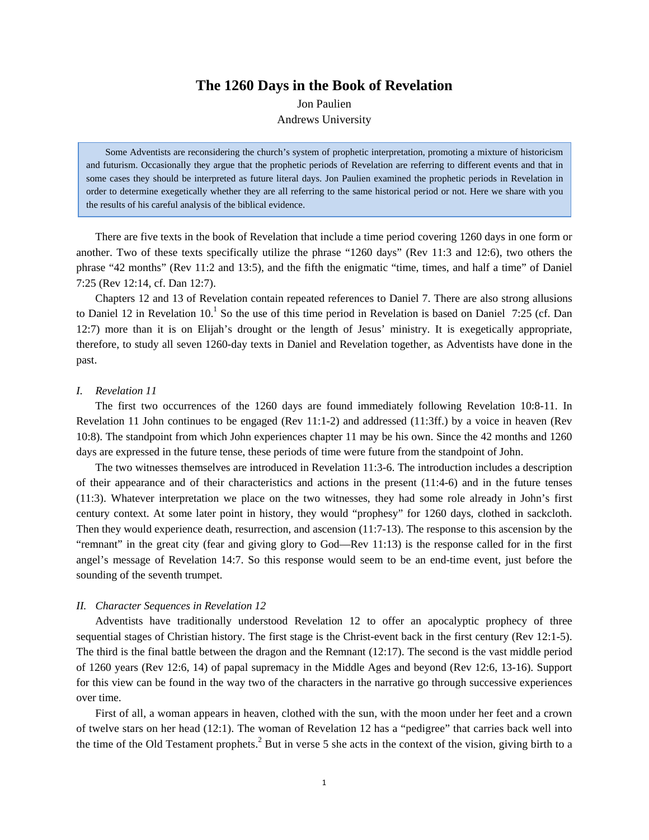# **The 1260 Days in the Book of Revelation**

Jon Paulien

Andrews University

Some Adventists are reconsidering the church's system of prophetic interpretation, promoting a mixture of historicism and futurism. Occasionally they argue that the prophetic periods of Revelation are referring to different events and that in some cases they should be interpreted as future literal days. Jon Paulien examined the prophetic periods in Revelation in order to determine exegetically whether they are all referring to the same historical period or not. Here we share with you the results of his careful analysis of the biblical evidence.

There are five texts in the book of Revelation that include a time period covering 1260 days in one form or another. Two of these texts specifically utilize the phrase "1260 days" (Rev 11:3 and 12:6), two others the phrase "42 months" (Rev 11:2 and 13:5), and the fifth the enigmatic "time, times, and half a time" of Daniel 7:25 (Rev 12:14, cf. Dan 12:7).

Chapters 12 and 13 of Revelation contain repeated references to Daniel 7. There are also strong allusions to Daniel 12 in Revelation 10.<sup>1</sup> So the use of this time period in Revelation is based on Daniel 7:25 (cf. Dan 12:7) more than it is on Elijah's drought or the length of Jesus' ministry. It is exegetically appropriate, therefore, to study all seven 1260-day texts in Daniel and Revelation together, as Adventists have done in the past.

#### *I. Revelation 11*

The first two occurrences of the 1260 days are found immediately following Revelation 10:8-11. In Revelation 11 John continues to be engaged (Rev 11:1-2) and addressed (11:3ff.) by a voice in heaven (Rev 10:8). The standpoint from which John experiences chapter 11 may be his own. Since the 42 months and 1260 days are expressed in the future tense, these periods of time were future from the standpoint of John.

The two witnesses themselves are introduced in Revelation 11:3-6. The introduction includes a description of their appearance and of their characteristics and actions in the present (11:4-6) and in the future tenses (11:3). Whatever interpretation we place on the two witnesses, they had some role already in John's first century context. At some later point in history, they would "prophesy" for 1260 days, clothed in sackcloth. Then they would experience death, resurrection, and ascension (11:7-13). The response to this ascension by the "remnant" in the great city (fear and giving glory to God—Rev 11:13) is the response called for in the first angel's message of Revelation 14:7. So this response would seem to be an end-time event, just before the sounding of the seventh trumpet.

#### *II. Character Sequences in Revelation 12*

Adventists have traditionally understood Revelation 12 to offer an apocalyptic prophecy of three sequential stages of Christian history. The first stage is the Christ-event back in the first century (Rev 12:1-5). The third is the final battle between the dragon and the Remnant (12:17). The second is the vast middle period of 1260 years (Rev 12:6, 14) of papal supremacy in the Middle Ages and beyond (Rev 12:6, 13-16). Support for this view can be found in the way two of the characters in the narrative go through successive experiences over time.

First of all, a woman appears in heaven, clothed with the sun, with the moon under her feet and a crown of twelve stars on her head (12:1). The woman of Revelation 12 has a "pedigree" that carries back well into the time of the Old Testament prophets.<sup>2</sup> But in verse 5 she acts in the context of the vision, giving birth to a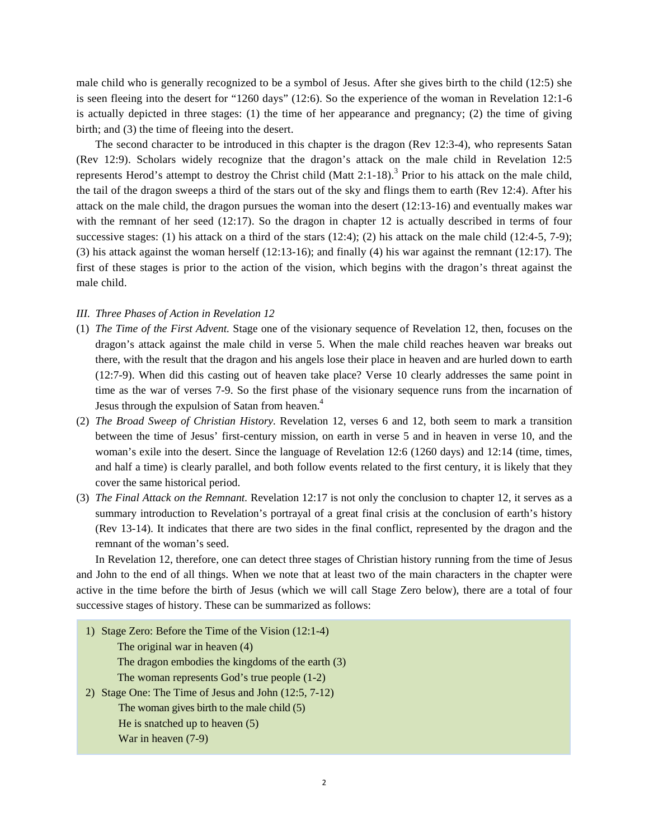male child who is generally recognized to be a symbol of Jesus. After she gives birth to the child (12:5) she is seen fleeing into the desert for "1260 days" (12:6). So the experience of the woman in Revelation 12:1-6 is actually depicted in three stages: (1) the time of her appearance and pregnancy; (2) the time of giving birth; and (3) the time of fleeing into the desert.

The second character to be introduced in this chapter is the dragon (Rev 12:3-4), who represents Satan (Rev 12:9). Scholars widely recognize that the dragon's attack on the male child in Revelation 12:5 represents Herod's attempt to destroy the Christ child (Matt  $2:1-18$ ).<sup>3</sup> Prior to his attack on the male child, the tail of the dragon sweeps a third of the stars out of the sky and flings them to earth (Rev 12:4). After his attack on the male child, the dragon pursues the woman into the desert (12:13-16) and eventually makes war with the remnant of her seed (12:17). So the dragon in chapter 12 is actually described in terms of four successive stages: (1) his attack on a third of the stars (12:4); (2) his attack on the male child (12:4-5, 7-9); (3) his attack against the woman herself (12:13-16); and finally (4) his war against the remnant (12:17). The first of these stages is prior to the action of the vision, which begins with the dragon's threat against the male child.

## *III. Three Phases of Action in Revelation 12*

- (1) *The Time of the First Advent.* Stage one of the visionary sequence of Revelation 12, then, focuses on the dragon's attack against the male child in verse 5. When the male child reaches heaven war breaks out there, with the result that the dragon and his angels lose their place in heaven and are hurled down to earth (12:7-9). When did this casting out of heaven take place? Verse 10 clearly addresses the same point in time as the war of verses 7-9. So the first phase of the visionary sequence runs from the incarnation of Jesus through the expulsion of Satan from heaven.<sup>4</sup>
- (2) *The Broad Sweep of Christian History.* Revelation 12, verses 6 and 12, both seem to mark a transition between the time of Jesus' first-century mission, on earth in verse 5 and in heaven in verse 10, and the woman's exile into the desert. Since the language of Revelation 12:6 (1260 days) and 12:14 (time, times, and half a time) is clearly parallel, and both follow events related to the first century, it is likely that they cover the same historical period.
- (3) *The Final Attack on the Remnant.* Revelation 12:17 is not only the conclusion to chapter 12, it serves as a summary introduction to Revelation's portrayal of a great final crisis at the conclusion of earth's history (Rev 13-14). It indicates that there are two sides in the final conflict, represented by the dragon and the remnant of the woman's seed.

In Revelation 12, therefore, one can detect three stages of Christian history running from the time of Jesus and John to the end of all things. When we note that at least two of the main characters in the chapter were active in the time before the birth of Jesus (which we will call Stage Zero below), there are a total of four successive stages of history. These can be summarized as follows:

- 1) Stage Zero: Before the Time of the Vision (12:1-4) The original war in heaven (4) The dragon embodies the kingdoms of the earth (3) The woman represents God's true people (1-2) 2) Stage One: The Time of Jesus and John (12:5, 7-12) The woman gives birth to the male child (5) He is snatched up to heaven (5)
	- War in heaven (7-9)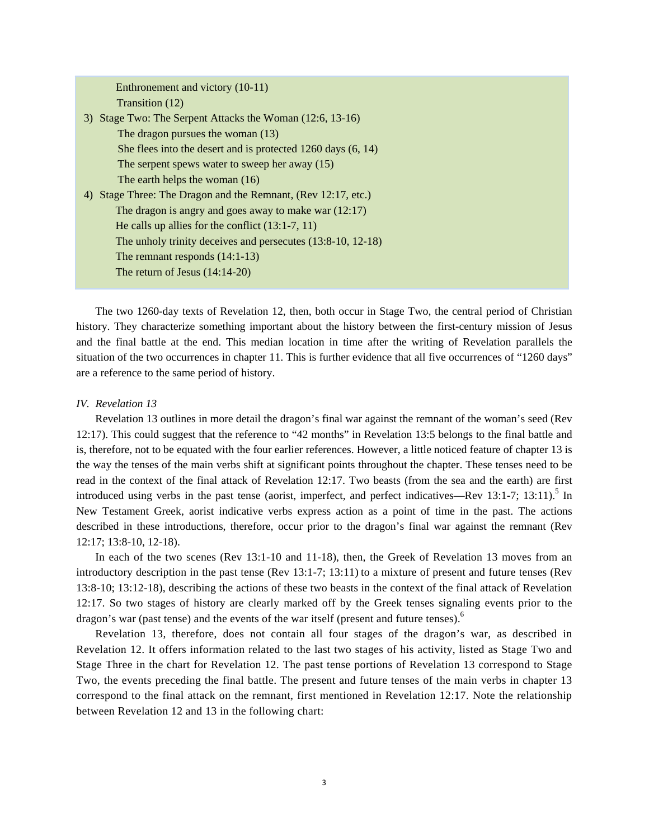| Enthronement and victory (10-11)                                 |
|------------------------------------------------------------------|
| Transition (12)                                                  |
| 3) Stage Two: The Serpent Attacks the Woman (12:6, 13-16)        |
| The dragon pursues the woman (13)                                |
| She flees into the desert and is protected $1260$ days $(6, 14)$ |
| The serpent spews water to sweep her away $(15)$                 |
| The earth helps the woman (16)                                   |
|                                                                  |
| 4) Stage Three: The Dragon and the Remnant, (Rev 12:17, etc.)    |
| The dragon is angry and goes away to make war $(12.17)$          |
| He calls up allies for the conflict $(13:1-7, 11)$               |
| The unholy trinity deceives and persecutes $(13.8-10, 12-18)$    |
| The remnant responds $(14:1-13)$                                 |
| The return of Jesus $(14:14-20)$                                 |
|                                                                  |

The two 1260-day texts of Revelation 12, then, both occur in Stage Two, the central period of Christian history. They characterize something important about the history between the first-century mission of Jesus and the final battle at the end. This median location in time after the writing of Revelation parallels the situation of the two occurrences in chapter 11. This is further evidence that all five occurrences of "1260 days" are a reference to the same period of history.

## *IV. Revelation 13*

Revelation 13 outlines in more detail the dragon's final war against the remnant of the woman's seed (Rev 12:17). This could suggest that the reference to "42 months" in Revelation 13:5 belongs to the final battle and is, therefore, not to be equated with the four earlier references. However, a little noticed feature of chapter 13 is the way the tenses of the main verbs shift at significant points throughout the chapter. These tenses need to be read in the context of the final attack of Revelation 12:17. Two beasts (from the sea and the earth) are first introduced using verbs in the past tense (aorist, imperfect, and perfect indicatives—Rev 13:1-7; 13:11).<sup>5</sup> In New Testament Greek, aorist indicative verbs express action as a point of time in the past. The actions described in these introductions, therefore, occur prior to the dragon's final war against the remnant (Rev 12:17; 13:8-10, 12-18).

In each of the two scenes (Rev 13:1-10 and 11-18), then, the Greek of Revelation 13 moves from an introductory description in the past tense (Rev 13:1-7; 13:11) to a mixture of present and future tenses (Rev 13:8-10; 13:12-18), describing the actions of these two beasts in the context of the final attack of Revelation 12:17. So two stages of history are clearly marked off by the Greek tenses signaling events prior to the dragon's war (past tense) and the events of the war itself (present and future tenses).<sup>6</sup>

Revelation 13, therefore, does not contain all four stages of the dragon's war, as described in Revelation 12. It offers information related to the last two stages of his activity, listed as Stage Two and Stage Three in the chart for Revelation 12. The past tense portions of Revelation 13 correspond to Stage Two, the events preceding the final battle. The present and future tenses of the main verbs in chapter 13 correspond to the final attack on the remnant, first mentioned in Revelation 12:17. Note the relationship between Revelation 12 and 13 in the following chart: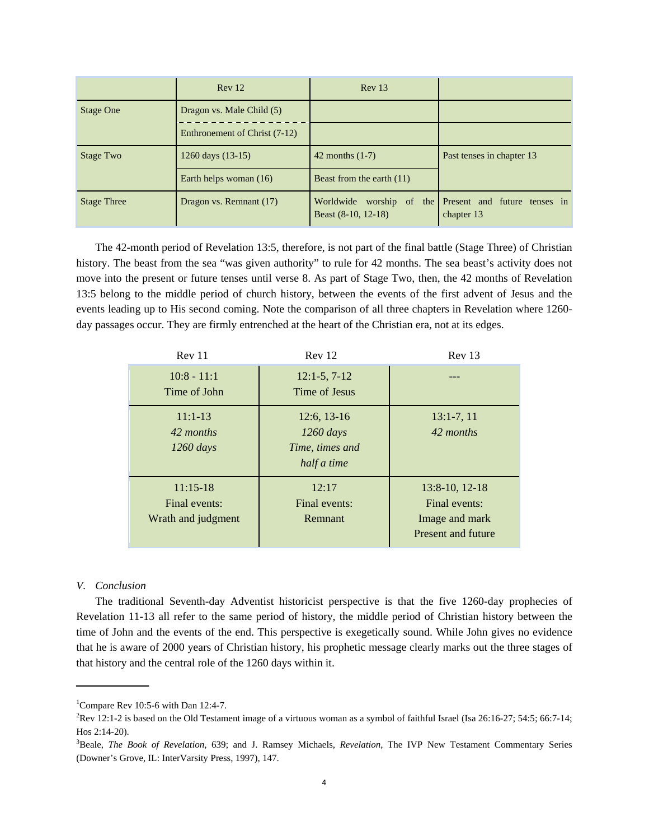|                    | Rev 12                        | Rev 13                             |                                                           |
|--------------------|-------------------------------|------------------------------------|-----------------------------------------------------------|
| <b>Stage One</b>   | Dragon vs. Male Child (5)     |                                    |                                                           |
|                    | Enthronement of Christ (7-12) |                                    |                                                           |
| Stage Two          | 1260 days (13-15)             | $42$ months $(1-7)$                | Past tenses in chapter 13                                 |
|                    | Earth helps woman (16)        | Beast from the earth $(11)$        |                                                           |
| <b>Stage Three</b> | Dragon vs. Remnant (17)       | Worldwide<br>Beast $(8-10, 12-18)$ | worship of the Present and future tenses in<br>chapter 13 |

The 42-month period of Revelation 13:5, therefore, is not part of the final battle (Stage Three) of Christian history. The beast from the sea "was given authority" to rule for 42 months. The sea beast's activity does not move into the present or future tenses until verse 8. As part of Stage Two, then, the 42 months of Revelation 13:5 belong to the middle period of church history, between the events of the first advent of Jesus and the events leading up to His second coming. Note the comparison of all three chapters in Revelation where 1260 day passages occur. They are firmly entrenched at the heart of the Christian era, not at its edges.

| Rev 11                                            | Rev 12                                                         | Rev 13                                                                       |
|---------------------------------------------------|----------------------------------------------------------------|------------------------------------------------------------------------------|
| $10:8 - 11:1$<br>Time of John                     | $12:1-5, 7-12$<br>Time of Jesus                                |                                                                              |
| $11:1-13$<br>42 months<br>$1260 \, days$          | $12:6, 13-16$<br>$1260$ days<br>Time, times and<br>half a time | $13:1-7,11$<br>42 months                                                     |
| $11:15-18$<br>Final events:<br>Wrath and judgment | 12:17<br>Final events:<br><b>Remnant</b>                       | $13:8-10$ , $12-18$<br>Final events:<br>Image and mark<br>Present and future |

## *V. Conclusion*

The traditional Seventh-day Adventist historicist perspective is that the five 1260-day prophecies of Revelation 11-13 all refer to the same period of history, the middle period of Christian history between the time of John and the events of the end. This perspective is exegetically sound. While John gives no evidence that he is aware of 2000 years of Christian history, his prophetic message clearly marks out the three stages of that history and the central role of the 1260 days within it.

<sup>&</sup>lt;sup>1</sup>Compare Rev 10:5-6 with Dan 12:4-7.

<sup>2</sup> Rev 12:1-2 is based on the Old Testament image of a virtuous woman as a symbol of faithful Israel (Isa 26:16-27; 54:5; 66:7-14; Hos 2:14-20).

<sup>3</sup> Beale, *The Book of Revelation*, 639; and J. Ramsey Michaels, *Revelation*, The IVP New Testament Commentary Series (Downer's Grove, IL: InterVarsity Press, 1997), 147.